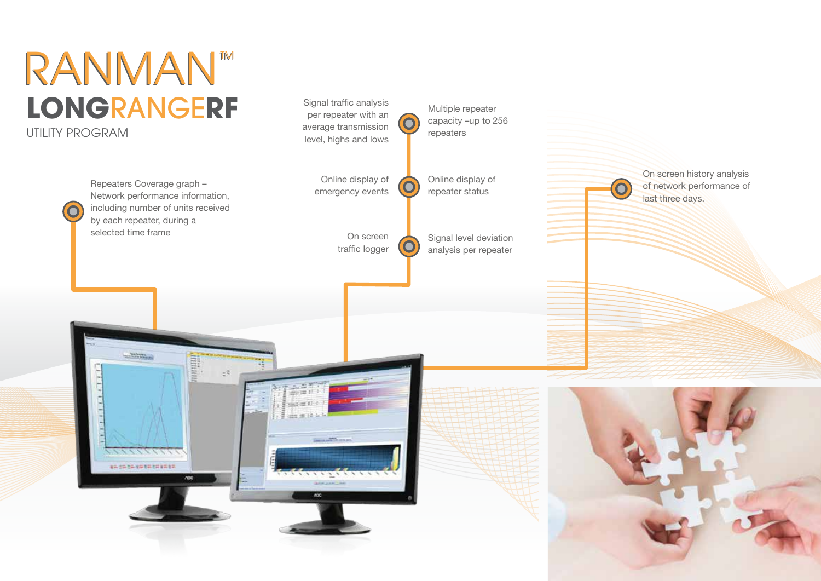